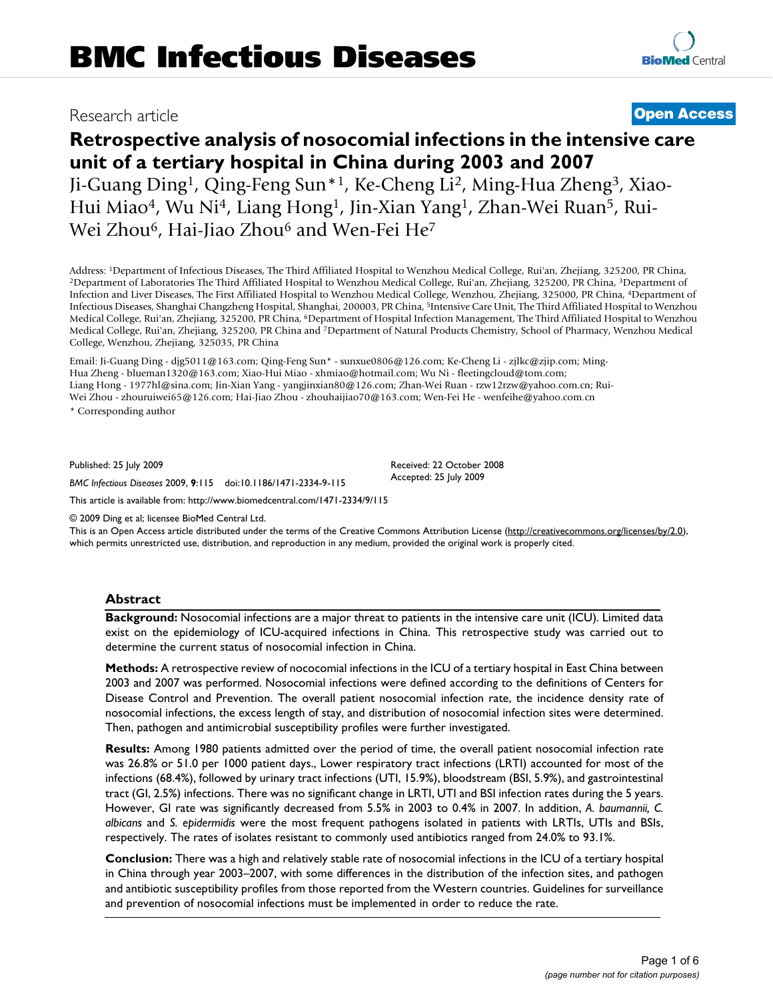## Research article **[Open Access](http://www.biomedcentral.com/info/about/charter/)**

# **Retrospective analysis of nosocomial infections in the intensive care unit of a tertiary hospital in China during 2003 and 2007**

Ji-Guang Ding1, Qing-Feng Sun\*1, Ke-Cheng Li2, Ming-Hua Zheng3, Xiao-Hui Miao<sup>4</sup>, Wu Ni<sup>4</sup>, Liang Hong<sup>1</sup>, Jin-Xian Yang<sup>1</sup>, Zhan-Wei Ruan<sup>5</sup>, Rui-Wei Zhou<sup>6</sup>, Hai-Jiao Zhou<sup>6</sup> and Wen-Fei He<sup>7</sup>

Address: <sup>1</sup>Department of Infectious Diseases, The Third Affiliated Hospital to Wenzhou Medical College, Rui'an, Zhejiang, 325200, PR China, <sup>2</sup>Department of Laboratories The Third Affiliated Hospital to Wenzhou Medical Co Infection and Liver Diseases, The First Affiliated Hospital to Wenzhou Medical College, Wenzhou, Zhejiang, 325000, PR China, 4Department of Infectious Diseases, Shanghai Changzheng Hospital, Shanghai, 200003, PR China, 5Intensive Care Unit, The Third Affiliated Hospital to Wenzhou Medical College, Rui'an, Zhejiang, 325200, PR China, 6Department of Hospital Infection Management, The Third Affiliated Hospital to Wenzhou Medical College, Rui'an, Zhejiang, 325200, PR China and 7Department of Natural Products Chemistry, School of Pharmacy, Wenzhou Medical College, Wenzhou, Zhejiang, 325035, PR China

Email: Ji-Guang Ding - djg5011@163.com; Qing-Feng Sun\* - sunxue0806@126.com; Ke-Cheng Li - zjlkc@zjip.com; Ming-Hua Zheng - blueman1320@163.com; Xiao-Hui Miao - xhmiao@hotmail.com; Wu Ni - fleetingcloud@tom.com; Liang Hong - 1977hl@sina.com; Jin-Xian Yang - yangjinxian80@126.com; Zhan-Wei Ruan - rzw12rzw@yahoo.com.cn; Rui-Wei Zhou - zhouruiwei65@126.com; Hai-Jiao Zhou - zhouhaijiao70@163.com; Wen-Fei He - wenfeihe@yahoo.com.cn

\* Corresponding author

Published: 25 July 2009

*BMC Infectious Diseases* 2009, **9**:115 doi:10.1186/1471-2334-9-115

[This article is available from: http://www.biomedcentral.com/1471-2334/9/115](http://www.biomedcentral.com/1471-2334/9/115)

© 2009 Ding et al; licensee BioMed Central Ltd.

This is an Open Access article distributed under the terms of the Creative Commons Attribution License [\(http://creativecommons.org/licenses/by/2.0\)](http://creativecommons.org/licenses/by/2.0), which permits unrestricted use, distribution, and reproduction in any medium, provided the original work is properly cited.

Received: 22 October 2008 Accepted: 25 July 2009

#### **Abstract**

**Background:** Nosocomial infections are a major threat to patients in the intensive care unit (ICU). Limited data exist on the epidemiology of ICU-acquired infections in China. This retrospective study was carried out to determine the current status of nosocomial infection in China.

**Methods:** A retrospective review of nococomial infections in the ICU of a tertiary hospital in East China between 2003 and 2007 was performed. Nosocomial infections were defined according to the definitions of Centers for Disease Control and Prevention. The overall patient nosocomial infection rate, the incidence density rate of nosocomial infections, the excess length of stay, and distribution of nosocomial infection sites were determined. Then, pathogen and antimicrobial susceptibility profiles were further investigated.

**Results:** Among 1980 patients admitted over the period of time, the overall patient nosocomial infection rate was 26.8% or 51.0 per 1000 patient days., Lower respiratory tract infections (LRTI) accounted for most of the infections (68.4%), followed by urinary tract infections (UTI, 15.9%), bloodstream (BSI, 5.9%), and gastrointestinal tract (GI, 2.5%) infections. There was no significant change in LRTI, UTI and BSI infection rates during the 5 years. However, GI rate was significantly decreased from 5.5% in 2003 to 0.4% in 2007. In addition, *A. baumannii, C. albicans* and *S. epidermidis* were the most frequent pathogens isolated in patients with LRTIs, UTIs and BSIs, respectively. The rates of isolates resistant to commonly used antibiotics ranged from 24.0% to 93.1%.

**Conclusion:** There was a high and relatively stable rate of nosocomial infections in the ICU of a tertiary hospital in China through year 2003–2007, with some differences in the distribution of the infection sites, and pathogen and antibiotic susceptibility profiles from those reported from the Western countries. Guidelines for surveillance and prevention of nosocomial infections must be implemented in order to reduce the rate.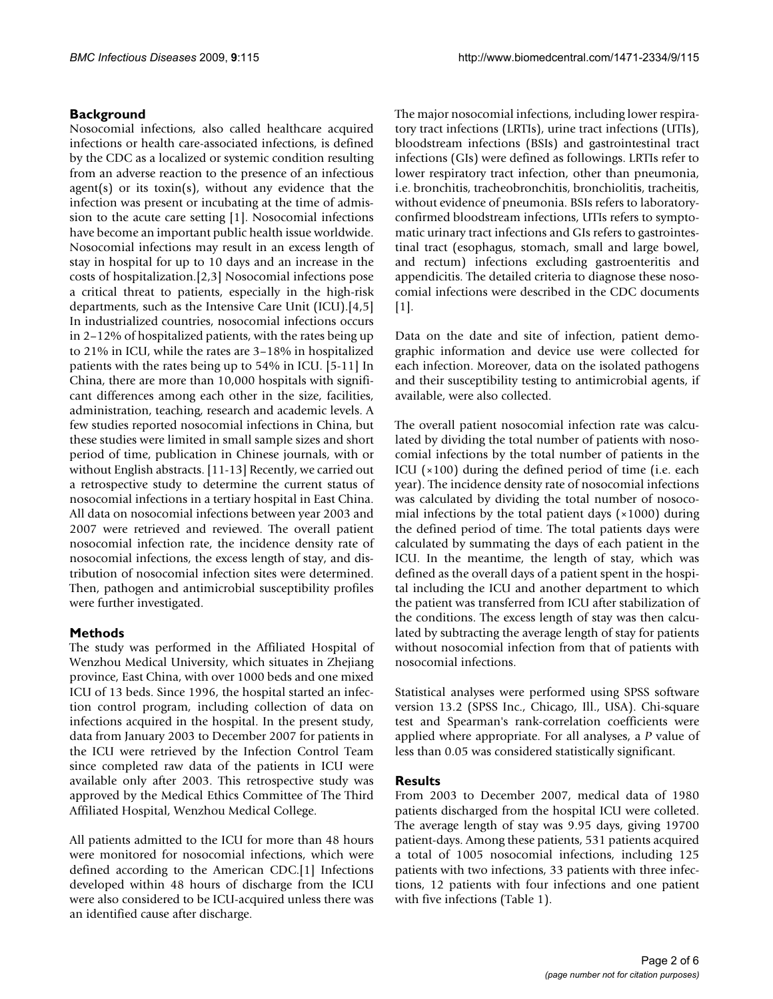#### **Background**

Nosocomial infections, also called healthcare acquired infections or health care-associated infections, is defined by the CDC as a localized or systemic condition resulting from an adverse reaction to the presence of an infectious agent(s) or its toxin(s), without any evidence that the infection was present or incubating at the time of admission to the acute care setting [1]. Nosocomial infections have become an important public health issue worldwide. Nosocomial infections may result in an excess length of stay in hospital for up to 10 days and an increase in the costs of hospitalization.[2,3] Nosocomial infections pose a critical threat to patients, especially in the high-risk departments, such as the Intensive Care Unit (ICU).[4,5] In industrialized countries, nosocomial infections occurs in 2–12% of hospitalized patients, with the rates being up to 21% in ICU, while the rates are 3–18% in hospitalized patients with the rates being up to 54% in ICU. [5-11] In China, there are more than 10,000 hospitals with significant differences among each other in the size, facilities, administration, teaching, research and academic levels. A few studies reported nosocomial infections in China, but these studies were limited in small sample sizes and short period of time, publication in Chinese journals, with or without English abstracts. [11-13] Recently, we carried out a retrospective study to determine the current status of nosocomial infections in a tertiary hospital in East China. All data on nosocomial infections between year 2003 and 2007 were retrieved and reviewed. The overall patient nosocomial infection rate, the incidence density rate of nosocomial infections, the excess length of stay, and distribution of nosocomial infection sites were determined. Then, pathogen and antimicrobial susceptibility profiles were further investigated.

### **Methods**

The study was performed in the Affiliated Hospital of Wenzhou Medical University, which situates in Zhejiang province, East China, with over 1000 beds and one mixed ICU of 13 beds. Since 1996, the hospital started an infection control program, including collection of data on infections acquired in the hospital. In the present study, data from January 2003 to December 2007 for patients in the ICU were retrieved by the Infection Control Team since completed raw data of the patients in ICU were available only after 2003. This retrospective study was approved by the Medical Ethics Committee of The Third Affiliated Hospital, Wenzhou Medical College.

All patients admitted to the ICU for more than 48 hours were monitored for nosocomial infections, which were defined according to the American CDC.[1] Infections developed within 48 hours of discharge from the ICU were also considered to be ICU-acquired unless there was an identified cause after discharge.

The major nosocomial infections, including lower respiratory tract infections (LRTIs), urine tract infections (UTIs), bloodstream infections (BSIs) and gastrointestinal tract infections (GIs) were defined as followings. LRTIs refer to lower respiratory tract infection, other than pneumonia, i.e. bronchitis, tracheobronchitis, bronchiolitis, tracheitis, without evidence of pneumonia. BSIs refers to laboratoryconfirmed bloodstream infections, UTIs refers to symptomatic urinary tract infections and GIs refers to gastrointestinal tract (esophagus, stomach, small and large bowel, and rectum) infections excluding gastroenteritis and appendicitis. The detailed criteria to diagnose these nosocomial infections were described in the CDC documents [1].

Data on the date and site of infection, patient demographic information and device use were collected for each infection. Moreover, data on the isolated pathogens and their susceptibility testing to antimicrobial agents, if available, were also collected.

The overall patient nosocomial infection rate was calculated by dividing the total number of patients with nosocomial infections by the total number of patients in the ICU  $(x100)$  during the defined period of time (i.e. each year). The incidence density rate of nosocomial infections was calculated by dividing the total number of nosocomial infections by the total patient days  $(x1000)$  during the defined period of time. The total patients days were calculated by summating the days of each patient in the ICU. In the meantime, the length of stay, which was defined as the overall days of a patient spent in the hospital including the ICU and another department to which the patient was transferred from ICU after stabilization of the conditions. The excess length of stay was then calculated by subtracting the average length of stay for patients without nosocomial infection from that of patients with nosocomial infections.

Statistical analyses were performed using SPSS software version 13.2 (SPSS Inc., Chicago, Ill., USA). Chi-square test and Spearman's rank-correlation coefficients were applied where appropriate. For all analyses, a *P* value of less than 0.05 was considered statistically significant.

#### **Results**

From 2003 to December 2007, medical data of 1980 patients discharged from the hospital ICU were colleted. The average length of stay was 9.95 days, giving 19700 patient-days. Among these patients, 531 patients acquired a total of 1005 nosocomial infections, including 125 patients with two infections, 33 patients with three infections, 12 patients with four infections and one patient with five infections (Table 1).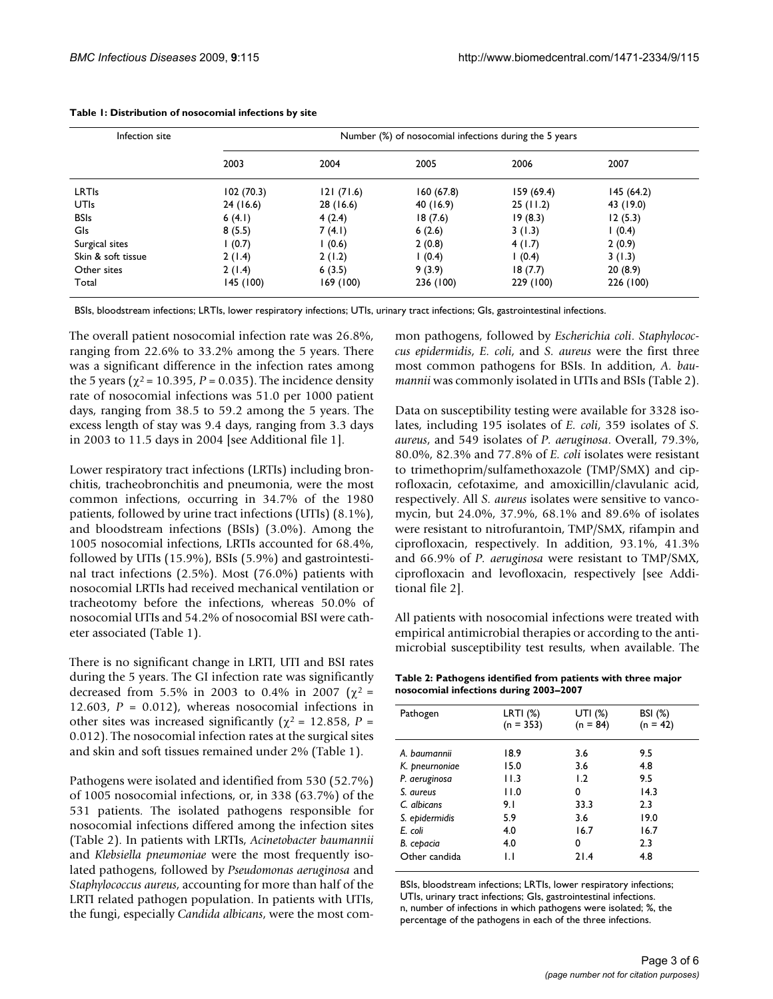| Infection site     | Number (%) of nosocomial infections during the 5 years |           |           |            |            |
|--------------------|--------------------------------------------------------|-----------|-----------|------------|------------|
|                    | 2003                                                   | 2004      | 2005      | 2006       | 2007       |
| <b>LRTIs</b>       | 102(70.3)                                              | 121(71.6) | 160(67.8) | 159 (69.4) | 145 (64.2) |
| UTIs               | 24(16.6)                                               | 28 (16.6) | 40 (16.9) | 25(11.2)   | 43 (19.0)  |
| <b>BSIs</b>        | 6(4.1)                                                 | 4(2.4)    | 18(7.6)   | 19(8.3)    | 12(5.3)    |
| Gls                | 8(5.5)                                                 | 7(4.1)    | 6(2.6)    | 3(1.3)     | (0.4)      |
| Surgical sites     | (0.7)                                                  | 1(0.6)    | 2(0.8)    | 4(1.7)     | 2(0.9)     |
| Skin & soft tissue | 2(1.4)                                                 | 2(1.2)    | 1(0.4)    | (0.4)      | 3(1.3)     |
| Other sites        | 2(1.4)                                                 | 6(3.5)    | 9(3.9)    | 18(7.7)    | 20(8.9)    |
| Total              | 145 (100)                                              | 169 (100) | 236 (100) | 229 (100)  | 226 (100)  |

#### **Table 1: Distribution of nosocomial infections by site**

BSIs, bloodstream infections; LRTIs, lower respiratory infections; UTIs, urinary tract infections; GIs, gastrointestinal infections.

The overall patient nosocomial infection rate was 26.8%, ranging from 22.6% to 33.2% among the 5 years. There was a significant difference in the infection rates among the 5 years ( $\chi^2$  = 10.395, *P* = 0.035). The incidence density rate of nosocomial infections was 51.0 per 1000 patient days, ranging from 38.5 to 59.2 among the 5 years. The excess length of stay was 9.4 days, ranging from 3.3 days in 2003 to 11.5 days in 2004 [see Additional file 1].

Lower respiratory tract infections (LRTIs) including bronchitis, tracheobronchitis and pneumonia, were the most common infections, occurring in 34.7% of the 1980 patients, followed by urine tract infections (UTIs) (8.1%), and bloodstream infections (BSIs) (3.0%). Among the 1005 nosocomial infections, LRTIs accounted for 68.4%, followed by UTIs (15.9%), BSIs (5.9%) and gastrointestinal tract infections (2.5%). Most (76.0%) patients with nosocomial LRTIs had received mechanical ventilation or tracheotomy before the infections, whereas 50.0% of nosocomial UTIs and 54.2% of nosocomial BSI were catheter associated (Table 1).

There is no significant change in LRTI, UTI and BSI rates during the 5 years. The GI infection rate was significantly decreased from 5.5% in 2003 to 0.4% in 2007 ( $\chi^2$  = 12.603,  $P = 0.012$ , whereas nosocomial infections in other sites was increased significantly ( $\chi^2$  = 12.858, *P* = 0.012). The nosocomial infection rates at the surgical sites and skin and soft tissues remained under 2% (Table 1).

Pathogens were isolated and identified from 530 (52.7%) of 1005 nosocomial infections, or, in 338 (63.7%) of the 531 patients. The isolated pathogens responsible for nosocomial infections differed among the infection sites (Table 2). In patients with LRTIs, *Acinetobacter baumannii* and *Klebsiella pneumoniae* were the most frequently isolated pathogens, followed by *Pseudomonas aeruginosa* and *Staphylococcus aureus*, accounting for more than half of the LRTI related pathogen population. In patients with UTIs, the fungi, especially *Candida albicans*, were the most common pathogens, followed by *Escherichia coli*. *Staphylococcus epidermidis*, *E. coli*, and *S. aureus* were the first three most common pathogens for BSIs. In addition, *A. baumannii* was commonly isolated in UTIs and BSIs (Table 2).

Data on susceptibility testing were available for 3328 isolates, including 195 isolates of *E. coli*, 359 isolates of *S. aureus*, and 549 isolates of *P. aeruginosa*. Overall, 79.3%, 80.0%, 82.3% and 77.8% of *E. coli* isolates were resistant to trimethoprim/sulfamethoxazole (TMP/SMX) and ciprofloxacin, cefotaxime, and amoxicillin/clavulanic acid, respectively. All *S. aureus* isolates were sensitive to vancomycin, but 24.0%, 37.9%, 68.1% and 89.6% of isolates were resistant to nitrofurantoin, TMP/SMX, rifampin and ciprofloxacin, respectively. In addition, 93.1%, 41.3% and 66.9% of *P. aeruginosa* were resistant to TMP/SMX, ciprofloxacin and levofloxacin, respectively [see Additional file 2].

All patients with nosocomial infections were treated with empirical antimicrobial therapies or according to the antimicrobial susceptibility test results, when available. The

**Table 2: Pathogens identified from patients with three major nosocomial infections during 2003–2007**

| Pathogen       | LRTI $(%)$  | UTI (%)    | <b>BSI</b> (%) |
|----------------|-------------|------------|----------------|
|                | $(n = 353)$ | $(n = 84)$ | $(n = 42)$     |
|                |             |            |                |
| A. baumannii   | 18.9        | 3.6        | 9.5            |
| K. pneurnoniae | 15.0        | 3.6        | 4.8            |
| P. aeruginosa  | 11.3        | 1.2        | 9.5            |
| S. aureus      | 11.0        | 0          | 14.3           |
| C. albicans    | 9. I        | 33.3       | 2.3            |
| S. epidermidis | 5.9         | 3.6        | 19.0           |
| E. coli        | 4.0         | 16.7       | 16.7           |
| B. cepacia     | 4.0         | 0          | 2.3            |
| Other candida  | IJ          | 21.4       | 4.8            |
|                |             |            |                |

BSIs, bloodstream infections; LRTIs, lower respiratory infections; UTIs, urinary tract infections; GIs, gastrointestinal infections. n, number of infections in which pathogens were isolated; %, the percentage of the pathogens in each of the three infections.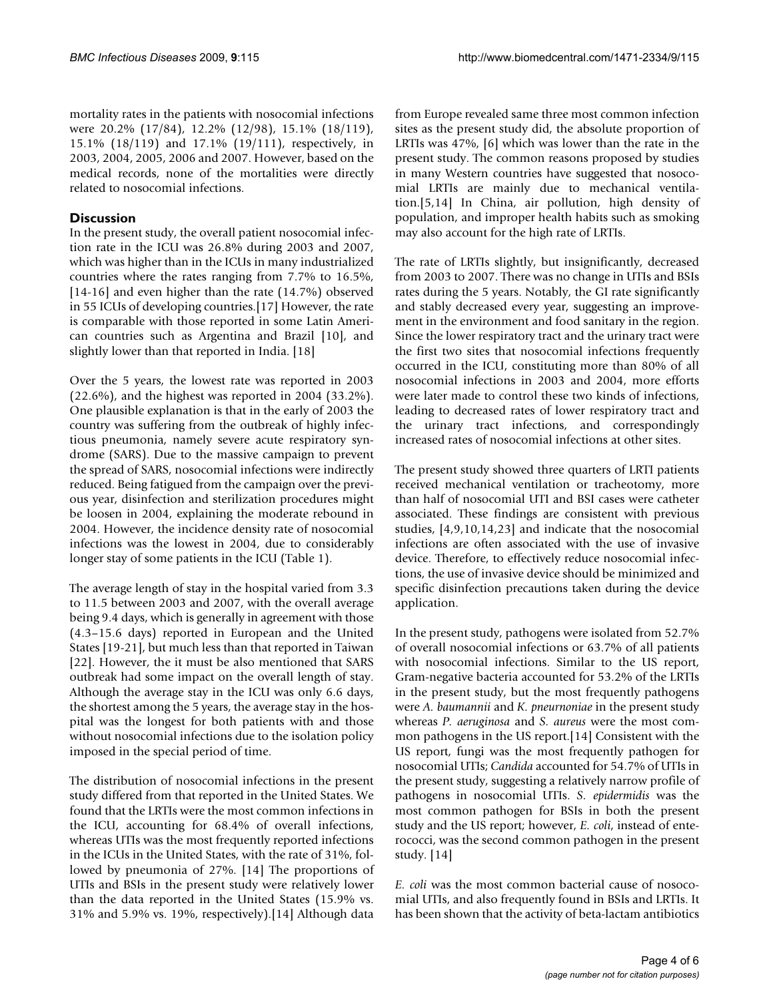mortality rates in the patients with nosocomial infections were 20.2% (17/84), 12.2% (12/98), 15.1% (18/119), 15.1% (18/119) and 17.1% (19/111), respectively, in 2003, 2004, 2005, 2006 and 2007. However, based on the medical records, none of the mortalities were directly related to nosocomial infections.

#### **Discussion**

In the present study, the overall patient nosocomial infection rate in the ICU was 26.8% during 2003 and 2007, which was higher than in the ICUs in many industrialized countries where the rates ranging from 7.7% to 16.5%, [14-16] and even higher than the rate (14.7%) observed in 55 ICUs of developing countries.[17] However, the rate is comparable with those reported in some Latin American countries such as Argentina and Brazil [10], and slightly lower than that reported in India. [18]

Over the 5 years, the lowest rate was reported in 2003 (22.6%), and the highest was reported in 2004 (33.2%). One plausible explanation is that in the early of 2003 the country was suffering from the outbreak of highly infectious pneumonia, namely severe acute respiratory syndrome (SARS). Due to the massive campaign to prevent the spread of SARS, nosocomial infections were indirectly reduced. Being fatigued from the campaign over the previous year, disinfection and sterilization procedures might be loosen in 2004, explaining the moderate rebound in 2004. However, the incidence density rate of nosocomial infections was the lowest in 2004, due to considerably longer stay of some patients in the ICU (Table 1).

The average length of stay in the hospital varied from 3.3 to 11.5 between 2003 and 2007, with the overall average being 9.4 days, which is generally in agreement with those (4.3–15.6 days) reported in European and the United States [19-21], but much less than that reported in Taiwan [22]. However, the it must be also mentioned that SARS outbreak had some impact on the overall length of stay. Although the average stay in the ICU was only 6.6 days, the shortest among the 5 years, the average stay in the hospital was the longest for both patients with and those without nosocomial infections due to the isolation policy imposed in the special period of time.

The distribution of nosocomial infections in the present study differed from that reported in the United States. We found that the LRTIs were the most common infections in the ICU, accounting for 68.4% of overall infections, whereas UTIs was the most frequently reported infections in the ICUs in the United States, with the rate of 31%, followed by pneumonia of 27%. [14] The proportions of UTIs and BSIs in the present study were relatively lower than the data reported in the United States (15.9% vs. 31% and 5.9% vs. 19%, respectively).[14] Although data

from Europe revealed same three most common infection sites as the present study did, the absolute proportion of LRTIs was 47%, [6] which was lower than the rate in the present study. The common reasons proposed by studies in many Western countries have suggested that nosocomial LRTIs are mainly due to mechanical ventilation.[5,14] In China, air pollution, high density of population, and improper health habits such as smoking may also account for the high rate of LRTIs.

The rate of LRTIs slightly, but insignificantly, decreased from 2003 to 2007. There was no change in UTIs and BSIs rates during the 5 years. Notably, the GI rate significantly and stably decreased every year, suggesting an improvement in the environment and food sanitary in the region. Since the lower respiratory tract and the urinary tract were the first two sites that nosocomial infections frequently occurred in the ICU, constituting more than 80% of all nosocomial infections in 2003 and 2004, more efforts were later made to control these two kinds of infections, leading to decreased rates of lower respiratory tract and the urinary tract infections, and correspondingly increased rates of nosocomial infections at other sites.

The present study showed three quarters of LRTI patients received mechanical ventilation or tracheotomy, more than half of nosocomial UTI and BSI cases were catheter associated. These findings are consistent with previous studies, [4,9,10,14,23] and indicate that the nosocomial infections are often associated with the use of invasive device. Therefore, to effectively reduce nosocomial infections, the use of invasive device should be minimized and specific disinfection precautions taken during the device application.

In the present study, pathogens were isolated from 52.7% of overall nosocomial infections or 63.7% of all patients with nosocomial infections. Similar to the US report, Gram-negative bacteria accounted for 53.2% of the LRTIs in the present study, but the most frequently pathogens were *A. baumannii* and *K. pneurnoniae* in the present study whereas *P. aeruginosa* and *S. aureus* were the most common pathogens in the US report.[14] Consistent with the US report, fungi was the most frequently pathogen for nosocomial UTIs; *Candida* accounted for 54.7% of UTIs in the present study, suggesting a relatively narrow profile of pathogens in nosocomial UTIs. *S. epidermidis* was the most common pathogen for BSIs in both the present study and the US report; however, *E. coli*, instead of enterococci, was the second common pathogen in the present study. [14]

*E. coli* was the most common bacterial cause of nosocomial UTIs, and also frequently found in BSIs and LRTIs. It has been shown that the activity of beta-lactam antibiotics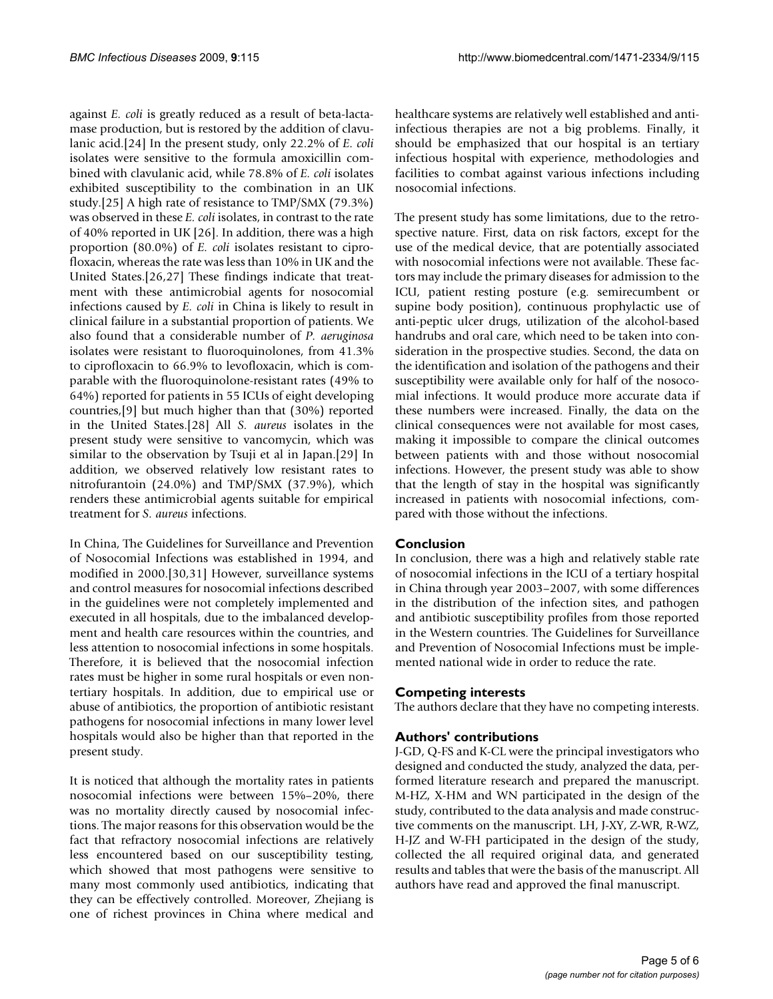against *E. coli* is greatly reduced as a result of beta-lactamase production, but is restored by the addition of clavulanic acid.[24] In the present study, only 22.2% of *E. coli* isolates were sensitive to the formula amoxicillin combined with clavulanic acid, while 78.8% of *E. coli* isolates exhibited susceptibility to the combination in an UK study.[25] A high rate of resistance to TMP/SMX (79.3%) was observed in these *E. coli* isolates, in contrast to the rate of 40% reported in UK [26]. In addition, there was a high proportion (80.0%) of *E. coli* isolates resistant to ciprofloxacin, whereas the rate was less than 10% in UK and the United States.[26,27] These findings indicate that treatment with these antimicrobial agents for nosocomial infections caused by *E. coli* in China is likely to result in clinical failure in a substantial proportion of patients. We also found that a considerable number of *P. aeruginosa* isolates were resistant to fluoroquinolones, from 41.3% to ciprofloxacin to 66.9% to levofloxacin, which is comparable with the fluoroquinolone-resistant rates (49% to 64%) reported for patients in 55 ICUs of eight developing countries,[9] but much higher than that (30%) reported in the United States.[28] All *S. aureus* isolates in the present study were sensitive to vancomycin, which was similar to the observation by Tsuji et al in Japan.[29] In addition, we observed relatively low resistant rates to nitrofurantoin (24.0%) and TMP/SMX (37.9%), which renders these antimicrobial agents suitable for empirical treatment for *S. aureus* infections.

In China, The Guidelines for Surveillance and Prevention of Nosocomial Infections was established in 1994, and modified in 2000.[30,31] However, surveillance systems and control measures for nosocomial infections described in the guidelines were not completely implemented and executed in all hospitals, due to the imbalanced development and health care resources within the countries, and less attention to nosocomial infections in some hospitals. Therefore, it is believed that the nosocomial infection rates must be higher in some rural hospitals or even nontertiary hospitals. In addition, due to empirical use or abuse of antibiotics, the proportion of antibiotic resistant pathogens for nosocomial infections in many lower level hospitals would also be higher than that reported in the present study.

It is noticed that although the mortality rates in patients nosocomial infections were between 15%–20%, there was no mortality directly caused by nosocomial infections. The major reasons for this observation would be the fact that refractory nosocomial infections are relatively less encountered based on our susceptibility testing, which showed that most pathogens were sensitive to many most commonly used antibiotics, indicating that they can be effectively controlled. Moreover, Zhejiang is one of richest provinces in China where medical and healthcare systems are relatively well established and antiinfectious therapies are not a big problems. Finally, it should be emphasized that our hospital is an tertiary infectious hospital with experience, methodologies and facilities to combat against various infections including nosocomial infections.

The present study has some limitations, due to the retrospective nature. First, data on risk factors, except for the use of the medical device, that are potentially associated with nosocomial infections were not available. These factors may include the primary diseases for admission to the ICU, patient resting posture (e.g. semirecumbent or supine body position), continuous prophylactic use of anti-peptic ulcer drugs, utilization of the alcohol-based handrubs and oral care, which need to be taken into consideration in the prospective studies. Second, the data on the identification and isolation of the pathogens and their susceptibility were available only for half of the nosocomial infections. It would produce more accurate data if these numbers were increased. Finally, the data on the clinical consequences were not available for most cases, making it impossible to compare the clinical outcomes between patients with and those without nosocomial infections. However, the present study was able to show that the length of stay in the hospital was significantly increased in patients with nosocomial infections, compared with those without the infections.

#### **Conclusion**

In conclusion, there was a high and relatively stable rate of nosocomial infections in the ICU of a tertiary hospital in China through year 2003–2007, with some differences in the distribution of the infection sites, and pathogen and antibiotic susceptibility profiles from those reported in the Western countries. The Guidelines for Surveillance and Prevention of Nosocomial Infections must be implemented national wide in order to reduce the rate.

#### **Competing interests**

The authors declare that they have no competing interests.

### **Authors' contributions**

J-GD, Q-FS and K-CL were the principal investigators who designed and conducted the study, analyzed the data, performed literature research and prepared the manuscript. M-HZ, X-HM and WN participated in the design of the study, contributed to the data analysis and made constructive comments on the manuscript. LH, J-XY, Z-WR, R-WZ, H-JZ and W-FH participated in the design of the study, collected the all required original data, and generated results and tables that were the basis of the manuscript. All authors have read and approved the final manuscript.